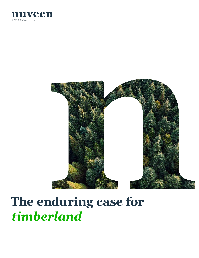



# **The enduring case for**  *timberland*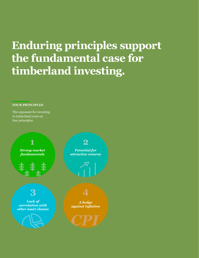## **Enduring principles support the fundamental case for timberland investing.**

#### **FOUR PRINCIPLES**

The argument for investing in timberland rests on four principles:

**3 4** *Strong market fundamentals* **1**

*Lack of correlation with other asset classes*



*Potential for attractive returns*

**2**



*A hedge against infation*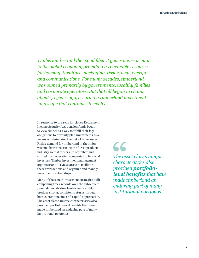*Timberland — and the wood fber it generates — is vital to the global economy, providing a renewable resource for housing, furniture, packaging, tissue, heat, energy and communications. For many decades, timberland was owned primarily by governments, wealthy families and corporate operators. But that all began to change about 50 years ago, creating a timberland investment landscape that continues to evolve.*

In response to the 1974 Employee Retirement Income Security Act, pension funds began to view timber as a way to fulfll their legal obligations to diversify plan investments as a means of minimizing the risk of large losses. Rising demand for timberland in the 1980s was met by restructuring the forest products industry so that ownership of timberland shifted from operating companies to fnancial investors. Timber investment management organizations (TIMOs) arose to facilitate these transactions and organize and manage investment partnerships.

Many of these new investment strategies built compelling track records over the subsequent years, demonstrating timberland's ability to produce strong, consistent returns through both current income and capital appreciation. The asset class's unique characteristics also provided portfolio-level benefts that have made timberland an enduring part of many institutional portfolios.

### 66

*The asset class's unique characteristics also provided portfoliolevel benefts that have made timberland an enduring part of many institutional portfolios."*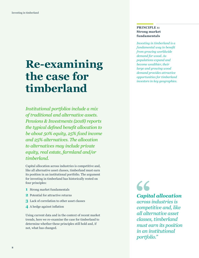### **Re-examining the case for timberland**

*Institutional portfolios include a mix of traditional and alternative assets. Pensions & Investments (2018) reports the typical defned beneft allocation to be about 50% equity, 25% fxed income and 25% alternatives. The allocation to alternatives may include private equity, real estate, farmland and/or timberland.* 

Capital allocation across industries is competitive and, like all alternative asset classes, timberland must earn its position in an institutional portfolio. The argument for investing in timberland has historically rested on four principles:

- **1** Strong market fundamentals
- **2** Potential for attractive returns
- **3** Lack of correlation to other asset classes
- **4** A hedge against infation

Using current data and in the context of recent market trends, here we re-examine the case for timberland to determine whether these principles still hold and, if not, what has changed.

#### **PRINCIPLE 1: Strong market fundamentals**

*Investing in timberland is a fundamental way to beneft from growing worldwide demand for wood. As populations expand and become wealthier, their large and growing wood demand provides attractive opportunities for timberland investors in key geographies.*

66 *Capital allocation*

*across industries is competitive and, like all alternative asset classes, timberland must earn its position in an institutional portfolio."*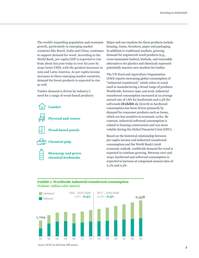The world's expanding population and economic growth, particularly in emerging market countries like Brazil, India and China, continues to support demand for wood. According to the World Bank, per capita GDP is expected to rise from about \$10,000 today to over \$17,000 by 2040 (2010 USD), with the greatest increases in Asia and Latin America. As per capita income increases in these emerging market countries, demand for forest products is expected to rise as well.

Timber demand is driven by industry's need for a range of wood-based products:



Major end-use markets for these products include housing, tissue, furniture, paper and packaging. In addition to traditional markets, growing demand for engineered wood products (e.g., cross-laminated timber), biofuels, and renewable alternatives for plastics and chemicals represent potentially massive new markets for timber.

The UN Food and Agriculture Organization (FAO) reports increasing global consumption of "industrial roundwood," which refers to wood used in manufacturing a broad range of products. Worldwide, between 1992 and 2016, industrial roundwood consumption increased at an average annual rate of 1.6% for hardwoods and 0.5% for softwoods **(Exhibit 1).** Growth in hardwood consumption has been driven primarily by demand for consumer products such as tissue, which are less sensitive to economic cycles. By contrast, industrial softwood consumption is related to housing construction and was more volatile during the Global Financial Crisis (GFC).

Based on the historical relationship between per capita income and industrial roundwood consumption and the World Bank's 2018 economic outlook, worldwide demand for wood is expected to continue growing. Between 2017 and 2040, hardwood and softwood consumption is expected to increase at compound annual rates of 2.2% and 0.5%.

#### **Exhibit 1: Worldwide industrial roundwood consumption**  (Volume: million cubic meters)



Sources: UN FAO, the World Bank, GWR research.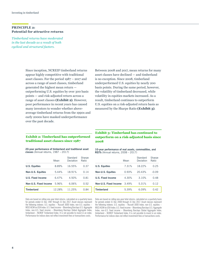#### **PRINCIPLE 2: Potential for attractive returns**

*Timberland returns have moderated in the last decade as a result of both cyclical and structural factors.*

> Since inception, NCREIF timberland returns appear highly competitive with traditional asset classes. For the period 1987 – 2017 and across a range of asset classes, timberland generated the highest mean return outperforming U.S. equities by over 300 basis points — and risk-adjusted return across a range of asset classes **(Exhibit 2)**. However, poor performance in recent years has caused many investors to wonder whether aboveaverage timberland returns from the 1990s and early 2000s have masked underperformance over the past decade.

Between 2008 and 2017, mean returns for many asset classes have declined — and timberland is no exception. Since 2008, timberland underperformed U.S. equities by nearly 200 basis points. During the same period, however, the volatility of timberland decreased, while volatility in equities markets increased. As a result, timberland continues to outperform U.S. equities on a risk-adjusted return basis as measured by the Sharpe Ratio **(Exhibit 3)**.

#### **Exhibit 2: Timberland has outperformed traditional asset classes since 1987**

**20-year performance of timberland and traditional asset classes** (Annual returns, 1987 – 2017)

|                          | Mean   | Standard<br>Deviation | Sharpe<br>Ratio |
|--------------------------|--------|-----------------------|-----------------|
| <b>U.S. Equities</b>     | 8.89%  | 16.55%                | 0.37            |
| <b>Non-U.S. Equities</b> | 5.44%  | 18.91%                | 0.14            |
| U.S. Fixed Income        | 6.47%  | 4.50%                 | 0.81            |
| Non-U.S. Fixed Income    | 5.96%  | 6.06%                 | 0.52            |
| <b>Timberland</b>        | 12.28% | 11.25%                | 0.84            |

**Exhibit 3: Timberland has continued to outperform on a risk-adjusted basis since 2008**

**10-year performance of real assets, commodities, and REITs** (Annual returns, 2008 – 2017)

|                          | Mean  | Standard<br>Deviation | Sharpe<br>Ratio |
|--------------------------|-------|-----------------------|-----------------|
| <b>U.S. Equities</b>     | 7.31% | 18.22%                | 0.25            |
| <b>Non-U.S. Equities</b> | 0.93% | 20.43%                | $-0.09$         |
| U.S. Fixed Income        | 4.30% | 3.10%                 | 0.48            |
| Non-U.S. Fixed Income    | 3.49% | 5.31%                 | 0.12            |
| <b>Timberland</b>        | 5.39% | 6.09%                 | 0.42            |

Data are based on rolling one-year total returns, calculated on a quarterly basis for periods ended 31 Dec 1987 through 31 Dec 2017. Asset classes represent the following indexes: U.S. equities – Russell 3000 Index; non-U.S. equities – MSCI ACWI ex USA Index; U.S. fxed income – Bloomberg Barclays U.S. Aggregate Index; non-U.S. fxed income – Bloomberg Barclays Global Aggregate Index; timberland – NCREIF Timberland Index. It is not possible to invest in an index. Performance for indices does not reflect investment fees or transactions costs.

Data are based on rolling one-year total returns, calculated on a quarterly basis for periods ended 31 Dec 2008 through 31 Dec 2017. Asset classes represent the following indexes: U.S. equities – Russell 3000 Index; non-U.S. equities – MSCI ACWI ex USA Index; U.S. fxed income – Bloomberg Barclays U.S. Aggregate Index; non-U.S. fixed income - Bloomberg Barclays Global Aggregate Index; timberland – NCREIF Timberland Index. It is not possible to invest in an index. Performance for indices does not reflect investment fees or transactions costs.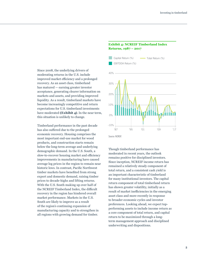Since 2008, the underlying drivers of moderating returns in the U.S. include improved market efficiency and a prolonged recovery. As an asset class, timberland has matured — earning greater investor acceptance, generating clearer information on markets and assets, and providing improved liquidity. As a result, timberland markets have become increasingly competitive and return expectations for U.S. timberland investments have moderated **(Exhibit 4)**. In the near term, this situation is unlikely to change.

Timberland performance in the past decade has also sufered due to the prolonged economic recovery. Housing comprises the most important end-use market for wood products, and construction starts remain below the long-term average and underlying demographic demand. In the U.S. South, a slow-to-recover housing market and efficiency improvements in manufacturing have caused average log prices in the region to remain near historic lows. In contrast, Pacifc Northwest timber markets have benefted from strong export and domestic demand, raising timber prices to decade-highs and lifting returns. With the U.S. South making up over half of the NCREIF Timberland Index, the difficult recovery in the region has hindered overall market performance. Markets in the U.S. South are likely to improve as a result of the region's continuing expansion of manufacturing capacity and to strengthen in all regions with growing demand for timber.

#### **Exhibit 4: NCREIF Timberland Index Returns, 1987 – 2017**



Though timberland performance has moderated in recent years, the outlook remains positive for disciplined investors. Since inception, NCREIF income return has remained a relatively steady component of total return, and a consistent cash yield is an important characteristic of timberland for many institutional investors. The capital return component of total timberland return has shown greater volatility, initially as a result of market inefficiencies in the emerging asset class and more recently in response to broader economic cycles and investor preferences. Looking ahead, we expect topperforming assets to include income return as a core component of total return, and capital return to be maximized through a longterm management approach and disciplined underwriting and dispositions.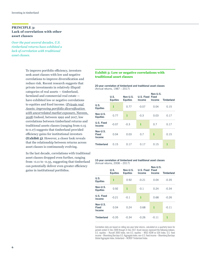#### **PRINCIPLE 3: Lack of correlation with other asset classes**

*Over the past several decades, U.S. timberland returns have exhibited a lack of correlation with traditional asset classes.*

> To improve portfolio efficiency, investors seek asset classes with low and negative correlations to improve diversifcation and reduce risk. Recent research suggests that private investments in relatively illiquid categories of real assets — timberland, farmland and commercial real estate have exhibited low or negative correlations to equities and fxed income. (*[Private real](https://documents.nuveen.com/Documents/Nuveen/Default.aspx?fileId=72254)  [Assets: improving portfolio diversifcation](https://documents.nuveen.com/Documents/Nuveen/Default.aspx?fileId=72254)  [with uncorrelated market exposure,](https://documents.nuveen.com/Documents/Nuveen/Default.aspx?fileId=72254)* Nuveen, [2018](https://documents.nuveen.com/Documents/Nuveen/Default.aspx?fileId=72254)) Indeed, between 1992 and 2017, low correlations between timberland returns and traditional assets classes (ranging from 0.15 to 0.17) suggests that timberland provided efficiency gains for institutional investors **(Exhibit 5)**. However, a closer look reveals that the relationship between returns across asset classes is continuously evolving.

In the last decade, correlations with traditional asset classes dropped even further, ranging from -0.11 to -0.35, suggesting that timberland can potentially deliver even greater efficiency gains in institutional portfolios.

#### **Exhibit 5: Low or negative correlations with traditional asset classes**

**20-year correlation of timberland and traditional asset classes**  (Annual returns, 1987 – 2017)

|                                    | U.S.<br><b>Equities</b> | Non-U.S.<br><b>Equities</b> | U.S. Fixed Fixed<br>Income | Non-U.S.<br>Income | <b>Timberland</b> |
|------------------------------------|-------------------------|-----------------------------|----------------------------|--------------------|-------------------|
| U.S.<br><b>Equities</b>            | 1                       | 0.77                        | $-0.07$                    | 0.04               | 0.15              |
| Non-U.S.<br><b>Equities</b>        | 0.77                    | $\mathbf{1}$                | $-0.3$                     | 0.03               | 0.17              |
| U.S. Fixed<br>Income               | $-0.07$                 | $-0.3$                      | 1                          | 0.7                | 0.17              |
| Non-U.S.<br><b>Fixed</b><br>Income | 0.04                    | 0.03                        | 0.7                        | 1                  | 0.15              |
| <b>Timberland</b>                  | 0.15                    | 0.17                        | 0.17                       | 0.15               | 1                 |

#### **10-year correlation of timberland and traditional asset classes**  (Annual returns, 2008 – 2017)

|                                    | <b>U.S.</b><br><b>Equities</b> | Non-U.S.<br><b>Equities</b> | <b>U.S. Fixed Fixed</b><br><b>Income</b> | Non-U.S.<br>Income | <b>Timberland</b> |
|------------------------------------|--------------------------------|-----------------------------|------------------------------------------|--------------------|-------------------|
| U.S.<br><b>Equities</b>            | $\mathbf{1}$                   | 0.92                        | $-0.21$                                  | 0.04               | $-0.35$           |
| Non-U.S.<br><b>Equities</b>        | 0.92                           | 1                           | $-0.1$                                   | 0.24               | $-0.34$           |
| U.S. Fixed<br>Income               | $-0.21$                        | $-0.1$                      | 1                                        | 0.68               | $-0.26$           |
| Non-U.S.<br><b>Fixed</b><br>Income | 0.04                           | 0.24                        | 0.68                                     | 1                  | $-0.11$           |
| <b>Timberland</b>                  | $-0.35$                        | $-0.34$                     | $-0.26$                                  | $-0.11$            | 1                 |

Correlation data are based on rolling one-year total returns, calculated on a quarterly basis for periods ended 31 Dec 2008 through 31 Dec 2017. Asset classes represent the following indexes: U.S. equities – Russell 3000 Index; non-U.S. equities – MSCI ACWI ex USA Index; U.S. fxed income – Bloomberg Barclays U.S. Aggregate Index; non-U.S. fxed income – Bloomberg Barclays Global Aggregate Index; timberland – NCREIF Timberland Index.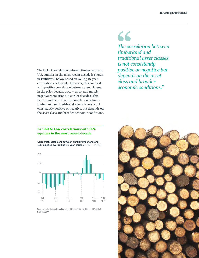The lack of correlation between timberland and U.S. equities in the most recent decade is shown in **Exhibit 6** below based on rolling 10-year correlation coefficients. However, this contrasts with positive correlation between asset classes in the prior decade, 2001 – 2010, and mostly negative correlations in earlier decades. This pattern indicates that the correlation between timberland and traditional asset classes is not consistently positive or negative, but depends on the asset class and broader economic conditions.

#### **Exhibit 6: Low correlations with U.S. equities in the most recent decade**

**Correlation coefficient between annual timberland and U.S. equities over rolling 10-year periods** (1961 – 2017)



Sources: John Hancock Timber Index (1960–1986), NCREIF (1987–2017), GWR research.

## 66

*The correlation between timberland and traditional asset classes is not consistently positive or negative but depends on the asset class and broader economic conditions."*

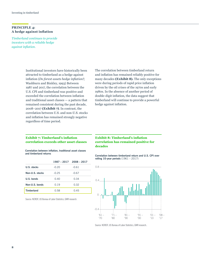#### **PRINCIPLE 4: A hedge against infation**

*Timberland continues to provide investors with a reliable hedge against infation.*

> Institutional investors have historically been attracted to timberland as a hedge against infation (*Do forest assets hedge infation?,* Washburn and Binkley, 1993) Between 1987 and 2017, the correlation between the U.S. CPI and timberland was positive and exceeded the correlation between infation and traditional asset classes — a pattern that remained consistent during the past decade, 2008–2017 **(Exhibit 7)**. In contrast, the correlation between U.S. and non-U.S. stocks and infation has remained strongly negative regardless of time period.

The correlation between timberland return and infation has remained reliably positive for many decades **(Exhibit 8).** The only exceptions were during periods of rapid price infation driven by the oil crises of the 1970s and early 1980s. In the absence of another period of double-digit infation, the data suggest that timberland will continue to provide a powerful hedge against infation.

#### **Exhibit 7: Timberland's infation correlation exceeds other asset classes**

**Correlation between infation, traditional asset classes and timberland returns**

|                   | $1987 - 2017$ 2008 - 2017 |         |
|-------------------|---------------------------|---------|
| U.S. stocks       | $-0.20$                   | $-0.61$ |
| Non-U.S. stocks   | $-0.25$                   | $-0.67$ |
| U.S. bonds        | 0.40                      | 0.34    |
| Non-U.S. bonds    | 0.19                      | 0.32    |
| <b>Timberland</b> | 0.58                      | 0.45    |

Source: NCREIF; US Bureau of Labor Statistics, GWR research.

#### **Exhibit 8: Timberland's infation correlation has remained positive for decades**

**Correlation between timberland return and U.S. CPI over rolling 10-year periods** (1961 – 2017)



Source: NCREIF; US Bureau of Labor Statistics, GWR research..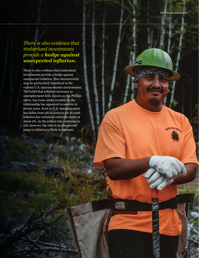**9**

### *There is also evidence that timberland investments provide a hedge against unexpected infation.*

There is also evidence that timberland investments provide a hedge against unexpected infation. This characteristic may be particularly benefcial in the current U.S. macroeconomic environment. The belief that infation increases as unemployment falls, known as the Phillips curve, has come under scrutiny as the relationship has appeared to weaken in recent years. Even as U.S. unemployment has fallen from 9% in 2009 to 4% in 2018, infation has remained relatively stable at about 2%. As the jobless rate continues to fall, however, the risk of an unexpected jump in infation is likely to increase.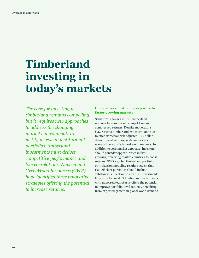### **Timberland investing in today's markets**

*The case for investing in timberland remains compelling, but it requires new approaches to address the changing market environment. To justify its role in institutional portfolios, timberland investments must deliver competitive performance and low correlations. Nuveen and GreenWood Resources (GWR) have identifed three innovative strategies ofering the potential to increase returns:*

#### **Global diversifcation for exposure to faster-growing markets**

Structural changes in U.S. timberland markets have increased competition and compressed returns. Despite moderating U.S. returns, timberland exposure continues to offer attractive risk-adjusted U.S. dollardenominated returns, scale and access to some of the world's largest wood markets. In addition to core market exposure, investors should consider opportunities in fastgrowing, emerging market countries to boost returns. GWR's global timberland portfolio optimization modeling results suggest that risk-efficient portfolios should include a substantial allocation to non-U.S. investments. Exposure to non-U.S. timberland investments with uncorrelated returns offers the potential to improve portfolio-level returns, benefting from expected growth in global wood demand.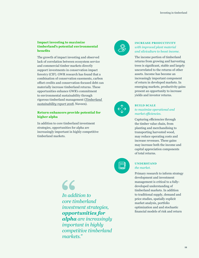#### **Impact investing to maximize timberland's potential environmental benefts**

The growth of impact investing and observed lack of correlation between ecosystem service and commercial timber markets directly support investments in conservation impact forestry (CIF). GWR research has found that a combination of conservation easements, carbon ofset credits and conservation-focused debt can materially increase timberland returns. These opportunities enhance GWR's commitment to environmental sustainability through rigorous timberland management (*[Timberland](https://www.nuveen.com/institutional/timberland-sustainability-report)  [sustainability report 2018,](https://www.nuveen.com/institutional/timberland-sustainability-report)* Nuveen).

#### **Return enhancers provide potential for higher alpha**

In addition to core timberland investment strategies, opportunities for alpha are increasingly important in highly competitive timberland markets.

> 66 *In addition to core timberland investment strategies, opportunities for alpha are increasingly important in highly competitive timberland markets."*



#### **INCREASE PRODUCTIVITY** *with improved plant material and silviculture to boost income.*

The income portion of timberland returns from growing and harvesting trees is signifcant, stable and largely uncorrelated to the returns of other assets. Income has become an increasingly important component of return in developed markets. In emerging markets, productivity gains present an opportunity to increase yields and investor returns.



#### **BUILD SCALE**

*to maximize operational and market efficiencies.* 

Capturing efficiencies through the timber value chain, from planting and merchandising to transporting harvested wood, may reduce operating costs and increase revenues. These gains may increase both the income and capital appreciation components of total returns.



#### **UNDERSTAND** *the market.*

Primary research to inform strategy development and investment management is critical to a fullydeveloped understanding of timberland markets. In addition to traditional supply, demand and price studies, spatially explicit market analysis, portfolio optimization and and stochastic fnancial models of risk and return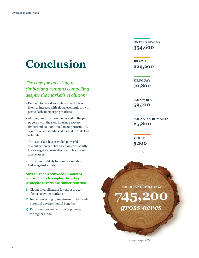### **Conclusion**

*The case for investing in timberland remains compelling despite the market's evolution:*

- Demand for wood and related products is likely to increase with global economic growth, particularly in emerging markets.
- Although returns have moderated in the past 10 years with the slow housing recovery, timberland has continued to outperform U.S. equities on a risk-adjusted basis due to its low volatility.
- The asset class has provided powerful diversifcation benefts based on consistently low or negative correlations with traditional asset classes.
- Timberland is likely to remain a reliable hedge against infation.

#### **Nuveen and GreenWood Resources advise clients to employ three key strategies to increase timber returns:**

- **1** Global diversifcation for exposure to faster-growing markets
- **2** Impact investing to maximize timberland's potential environmental benefts
- **3** Return enhancers to provide potential for higher alpha

**UNITED STATES 354,600**

**BRAZIL 229,200**

**URUGUAY 70,800**

**COLOMBIA 59,700**

**POLAND & ROMANIA 25,800**

**CHILE 5,100**

**TIMBERLAND HOLDINGS\***

*gross acres*

**745,200**

\*Acreage managed by GWR.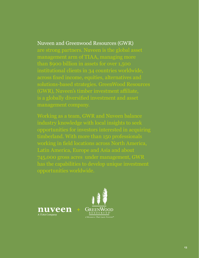### Nuveen and Greenwood Resources (GWR)

management arm of TIAA, managing more (GWR), Nuveen's timber investment afliate, management company.

industry knowledge with local insights to seek 745,000 gross acres under management, GWR